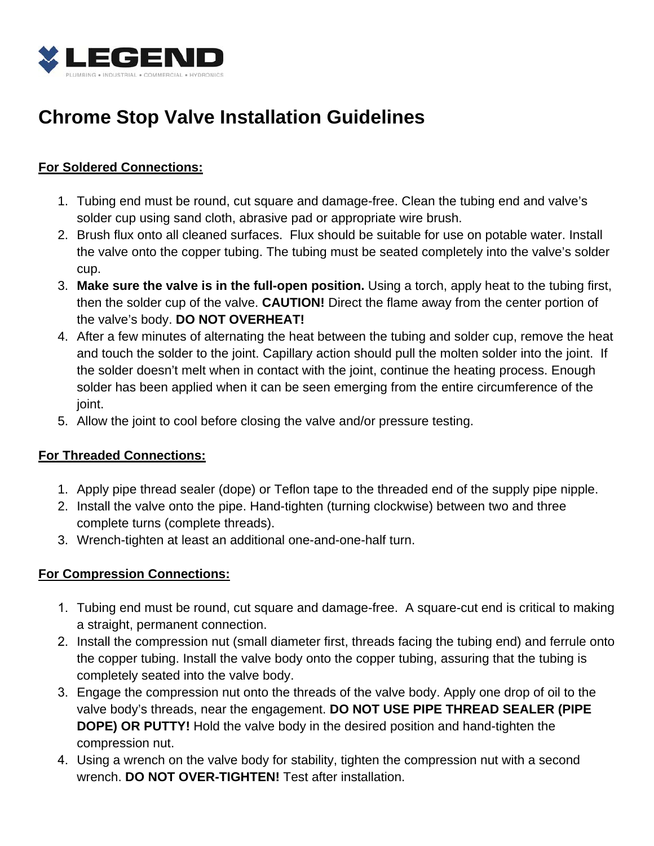

# **Chrome Stop Valve Installation Guidelines**

# **For Soldered Connections:**

- 1. Tubing end must be round, cut square and damage-free. Clean the tubing end and valve's solder cup using sand cloth, abrasive pad or appropriate wire brush.
- 2. Brush flux onto all cleaned surfaces. Flux should be suitable for use on potable water. Install the valve onto the copper tubing. The tubing must be seated completely into the valve's solder cup.
- 3. **Make sure the valve is in the full-open position.** Using a torch, apply heat to the tubing first, then the solder cup of the valve. **CAUTION!** Direct the flame away from the center portion of the valve's body. **DO NOT OVERHEAT!**
- 4. After a few minutes of alternating the heat between the tubing and solder cup, remove the heat and touch the solder to the joint. Capillary action should pull the molten solder into the joint. If the solder doesn't melt when in contact with the joint, continue the heating process. Enough solder has been applied when it can be seen emerging from the entire circumference of the joint.
- 5. Allow the joint to cool before closing the valve and/or pressure testing.

# **For Threaded Connections:**

- 1. Apply pipe thread sealer (dope) or Teflon tape to the threaded end of the supply pipe nipple.
- 2. Install the valve onto the pipe. Hand-tighten (turning clockwise) between two and three complete turns (complete threads).
- 3. Wrench-tighten at least an additional one-and-one-half turn.

## **For Compression Connections:**

- 1. Tubing end must be round, cut square and damage-free. A square-cut end is critical to making a straight, permanent connection.
- 2. Install the compression nut (small diameter first, threads facing the tubing end) and ferrule onto the copper tubing. Install the valve body onto the copper tubing, assuring that the tubing is completely seated into the valve body.
- 3. Engage the compression nut onto the threads of the valve body. Apply one drop of oil to the valve body's threads, near the engagement. **DO NOT USE PIPE THREAD SEALER (PIPE DOPE) OR PUTTY!** Hold the valve body in the desired position and hand-tighten the compression nut.
- 4. Using a wrench on the valve body for stability, tighten the compression nut with a second wrench. **DO NOT OVER-TIGHTEN!** Test after installation.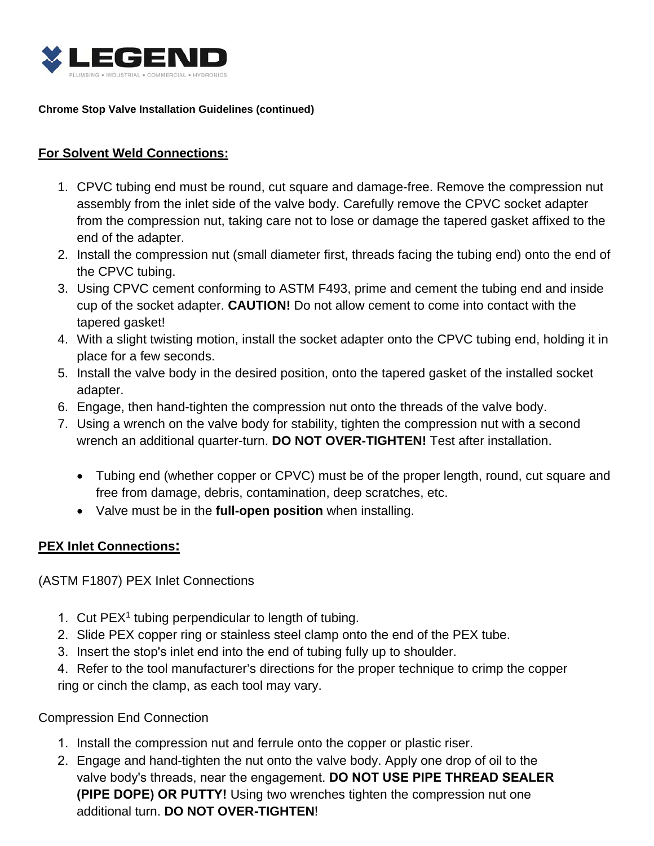

#### **Chrome Stop Valve Installation Guidelines (continued)**

### **For Solvent Weld Connections:**

- 1. CPVC tubing end must be round, cut square and damage-free. Remove the compression nut assembly from the inlet side of the valve body. Carefully remove the CPVC socket adapter from the compression nut, taking care not to lose or damage the tapered gasket affixed to the end of the adapter.
- 2. Install the compression nut (small diameter first, threads facing the tubing end) onto the end of the CPVC tubing.
- 3. Using CPVC cement conforming to ASTM F493, prime and cement the tubing end and inside cup of the socket adapter. **CAUTION!** Do not allow cement to come into contact with the tapered gasket!
- 4. With a slight twisting motion, install the socket adapter onto the CPVC tubing end, holding it in place for a few seconds.
- 5. Install the valve body in the desired position, onto the tapered gasket of the installed socket adapter.
- 6. Engage, then hand-tighten the compression nut onto the threads of the valve body.
- 7. Using a wrench on the valve body for stability, tighten the compression nut with a second wrench an additional quarter-turn. **DO NOT OVER-TIGHTEN!** Test after installation.
	- Tubing end (whether copper or CPVC) must be of the proper length, round, cut square and free from damage, debris, contamination, deep scratches, etc.
	- Valve must be in the **full-open position** when installing.

#### **PEX Inlet Connections:**

(ASTM F1807) PEX Inlet Connections

- 1. Cut  $PEX<sup>1</sup>$  tubing perpendicular to length of tubing.
- 2. Slide PEX copper ring or stainless steel clamp onto the end of the PEX tube.
- 3. Insert the stop's inlet end into the end of tubing fully up to shoulder.
- 4. Refer to the tool manufacturer's directions for the proper technique to crimp the copper ring or cinch the clamp, as each tool may vary.

Compression End Connection

- 1. Install the compression nut and ferrule onto the copper or plastic riser.
- 2. Engage and hand-tighten the nut onto the valve body. Apply one drop of oil to the valve body's threads, near the engagement. **DO NOT USE PIPE THREAD SEALER (PIPE DOPE) OR PUTTY!** Using two wrenches tighten the compression nut one additional turn. **DO NOT OVER-TIGHTEN**!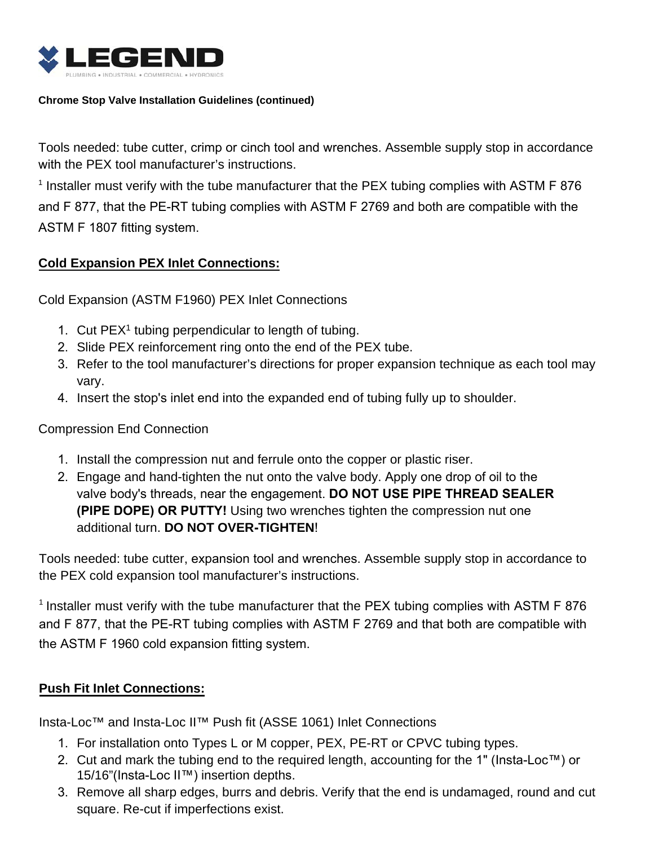

#### **Chrome Stop Valve Installation Guidelines (continued)**

Tools needed: tube cutter, crimp or cinch tool and wrenches. Assemble supply stop in accordance with the PEX tool manufacturer's instructions.

<sup>1</sup> Installer must verify with the tube manufacturer that the PEX tubing complies with ASTM F 876 and F 877, that the PE-RT tubing complies with ASTM F 2769 and both are compatible with the ASTM F 1807 fitting system.

## **Cold Expansion PEX Inlet Connections:**

Cold Expansion (ASTM F1960) PEX Inlet Connections

- 1. Cut PEX<sup>1</sup> tubing perpendicular to length of tubing.
- 2. Slide PEX reinforcement ring onto the end of the PEX tube.
- 3. Refer to the tool manufacturer's directions for proper expansion technique as each tool may vary.
- 4. Insert the stop's inlet end into the expanded end of tubing fully up to shoulder.

#### Compression End Connection

- 1. Install the compression nut and ferrule onto the copper or plastic riser.
- 2. Engage and hand-tighten the nut onto the valve body. Apply one drop of oil to the valve body's threads, near the engagement. **DO NOT USE PIPE THREAD SEALER (PIPE DOPE) OR PUTTY!** Using two wrenches tighten the compression nut one additional turn. **DO NOT OVER-TIGHTEN**!

Tools needed: tube cutter, expansion tool and wrenches. Assemble supply stop in accordance to the PEX cold expansion tool manufacturer's instructions.

<sup>1</sup> Installer must verify with the tube manufacturer that the PEX tubing complies with ASTM F 876 and F 877, that the PE-RT tubing complies with ASTM F 2769 and that both are compatible with the ASTM F 1960 cold expansion fitting system.

#### **Push Fit Inlet Connections:**

Insta-Loc™ and Insta-Loc II™ Push fit (ASSE 1061) Inlet Connections

- 1. For installation onto Types L or M copper, PEX, PE-RT or CPVC tubing types.
- 2. Cut and mark the tubing end to the required length, accounting for the 1" (Insta-Loc™) or 15/16"(Insta-Loc II™) insertion depths.
- 3. Remove all sharp edges, burrs and debris. Verify that the end is undamaged, round and cut square. Re-cut if imperfections exist.